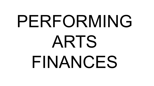# PERFORMING ARTS FINANCES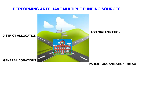### **PERFORMING ARTS HAVE MULTIPLE FUNDING SOURCES**



#### **PARENT ORGANIZATION (501c3)**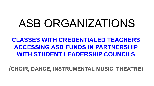# ASB ORGANIZATIONS

**CLASSES WITH CREDENTIALED TEACHERS ACCESSING ASB FUNDS IN PARTNERSHIP WITH STUDENT LEADERSHIP COUNCILS**

(**CHOIR, DANCE, INSTRUMENTAL MUSIC, THEATRE**)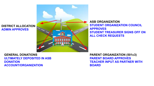#### **DISTRICT ALLOCATION ADMIN APPROVES**



**ASB ORGANIZATION STUDENT ORGANIZATION COUNCIL APPROVES STUDENT TREASURER SIGNS OFF ON ALL CHECK REQUESTS**

**GENERAL DONATIONS ULTIMATELY DEPOSITED IN ASB DONATION ACCOUNT/ORGANIZATION**

**PARENT ORGANIZATION (501c3) PARENT BOARD APPROVES TEACHER INPUT AS PARTNER WITH BOARD**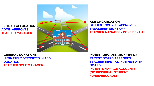**DISTRICT ALLOCATION ADMIN APPROVES TEACHER MANAGES**



**ASB ORGANIZATION STUDENT COUNCIL APPROVES TREASURER SIGNS OFF TEACHER MANAGES - CONFIDENTIAL**

**GENERAL DONATIONS ULTIMATELY DEPOSITED IN ASB DONATION TEACHER SOLE MANAGER**

**PARENT ORGANIZATION (501c3) PARENT BOARD APPROVES TEACHER INPUT AS PARTNER WITH BOARD PARENTS MANAGE ACCOUNTS (NO INDIVIDUAL STUDENT FUNDS/RECORDS)**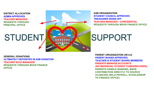**DISTRICT ALLOCATION ADMIN APPROVES TEACHER MANAGES REQUESTS THROUGH PRINCIPAL OFFICE**

### **STUDENT**



**ASB ORGANIZATION STUDENT COUNCIL APPROVES TREASURER SIGNS OFF TEACHER MANAGES - CONFIDENTIAL REQUESTS THROUGH MVHS FINANCE OFFICE**

### **SUPPORT**

**GENERAL DONATIONS ULTIMATELY DEPOSITED IN ASB DONATION TEACHER SOLE MANAGER REQUESTS THROUGH MVHS FINANCE OFFICE**

**PARENT ORGANIZATION (501c3) PARENT BOARD APPROVES TEACHER & STUDENT BOARD MEMBERS PARENTS MANAGE ACCOUNTS (NO INDIVIDUAL STUDENT FUNDS/RECORDS) PARENTS HANDLE BANKING, MAKE CONTRIBUTION DIRECTLY TO SOURCE (CLINICIAN, MVLA PAYROLL, SCHOLARSHIP TO FINANCE OFFICE)**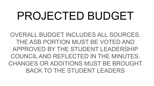# PROJECTED BUDGET

OVERALL BUDGET INCLUDES ALL SOURCES. THE ASB PORTION MUST BE VOTED AND APPROVED BY THE STUDENT LEADERSHIP COUNCIL AND REFLECTED IN THE MINUTES. CHANGES OR ADDITIONS MUST BE BROUGHT BACK TO THE STUDENT LEADERS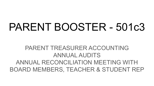## PARENT BOOSTER - 501c3

### PARENT TREASURER ACCOUNTING ANNUAL AUDITS ANNUAL RECONCILIATION MEETING WITH BOARD MEMBERS, TEACHER & STUDENT REP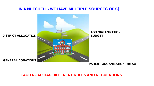#### **IN A NUTSHELL- WE HAVE MULTIPLE SOURCES OF \$\$**



**PARENT ORGANIZATION (501c3)**

#### **EACH ROAD HAS DIFFERENT RULES AND REGULATIONS**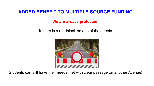### **ADDED BENEFIT TO MULTIPLE SOURCE FUNDING**

**We are always protected!**

If there is a roadblock on one of the streets.



Students can still have their needs met with clear passage on another Avenue!